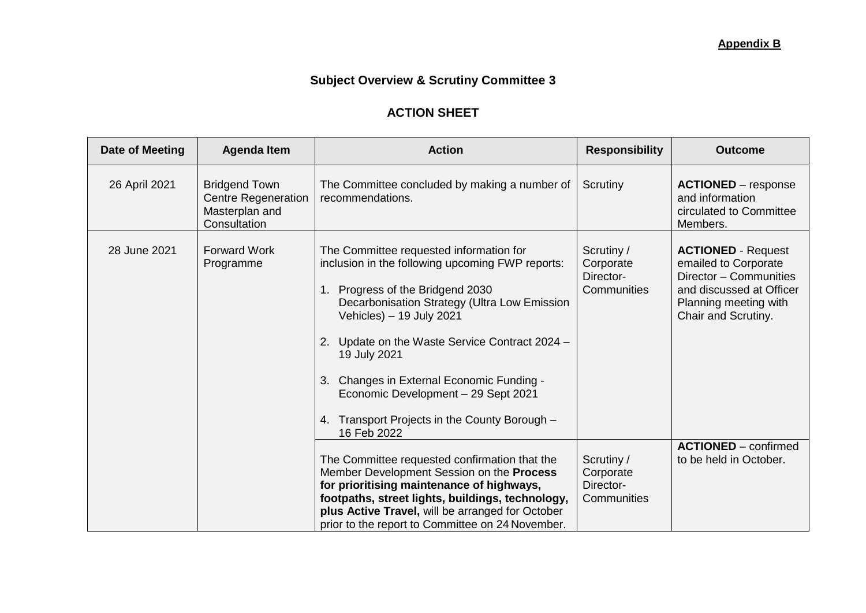## **Subject Overview & Scrutiny Committee 3**

## **ACTION SHEET**

| <b>Date of Meeting</b> | <b>Agenda Item</b>                                                                   | <b>Action</b>                                                                                                                                                                                                                                                                                                                                                                                                                     | <b>Responsibility</b>                               | <b>Outcome</b>                                                                                                                                          |
|------------------------|--------------------------------------------------------------------------------------|-----------------------------------------------------------------------------------------------------------------------------------------------------------------------------------------------------------------------------------------------------------------------------------------------------------------------------------------------------------------------------------------------------------------------------------|-----------------------------------------------------|---------------------------------------------------------------------------------------------------------------------------------------------------------|
| 26 April 2021          | <b>Bridgend Town</b><br><b>Centre Regeneration</b><br>Masterplan and<br>Consultation | The Committee concluded by making a number of<br>recommendations.                                                                                                                                                                                                                                                                                                                                                                 | Scrutiny                                            | <b>ACTIONED</b> – response<br>and information<br>circulated to Committee<br>Members.                                                                    |
| 28 June 2021           | <b>Forward Work</b><br>Programme                                                     | The Committee requested information for<br>inclusion in the following upcoming FWP reports:<br>Progress of the Bridgend 2030<br>1.<br>Decarbonisation Strategy (Ultra Low Emission<br>Vehicles) - 19 July 2021<br>Update on the Waste Service Contract 2024 -<br>19 July 2021<br>Changes in External Economic Funding -<br>Economic Development - 29 Sept 2021<br>Transport Projects in the County Borough -<br>4.<br>16 Feb 2022 | Scrutiny /<br>Corporate<br>Director-<br>Communities | <b>ACTIONED - Request</b><br>emailed to Corporate<br>Director - Communities<br>and discussed at Officer<br>Planning meeting with<br>Chair and Scrutiny. |
|                        |                                                                                      | The Committee requested confirmation that the<br>Member Development Session on the Process<br>for prioritising maintenance of highways,<br>footpaths, street lights, buildings, technology,<br>plus Active Travel, will be arranged for October<br>prior to the report to Committee on 24 November.                                                                                                                               | Scrutiny /<br>Corporate<br>Director-<br>Communities | <b>ACTIONED</b> – confirmed<br>to be held in October.                                                                                                   |